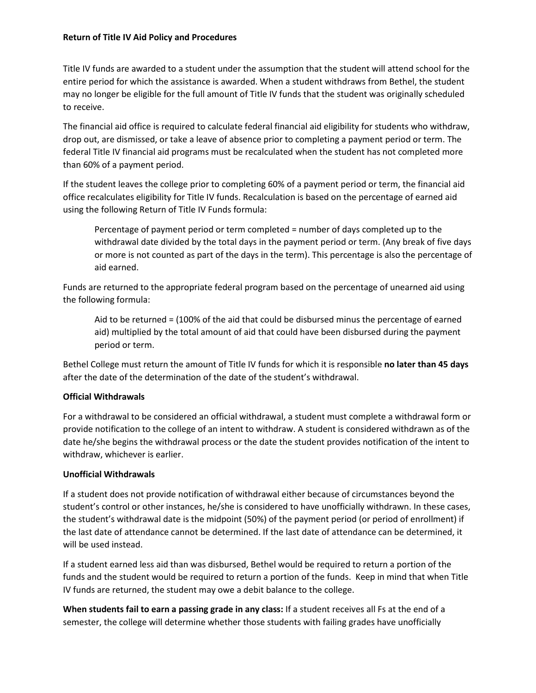## **Return of Title IV Aid Policy and Procedures**

Title IV funds are awarded to a student under the assumption that the student will attend school for the entire period for which the assistance is awarded. When a student withdraws from Bethel, the student may no longer be eligible for the full amount of Title IV funds that the student was originally scheduled to receive.

The financial aid office is required to calculate federal financial aid eligibility for students who withdraw, drop out, are dismissed, or take a leave of absence prior to completing a payment period or term. The federal Title IV financial aid programs must be recalculated when the student has not completed more than 60% of a payment period.

If the student leaves the college prior to completing 60% of a payment period or term, the financial aid office recalculates eligibility for Title IV funds. Recalculation is based on the percentage of earned aid using the following Return of Title IV Funds formula:

Percentage of payment period or term completed = number of days completed up to the withdrawal date divided by the total days in the payment period or term. (Any break of five days or more is not counted as part of the days in the term). This percentage is also the percentage of aid earned.

Funds are returned to the appropriate federal program based on the percentage of unearned aid using the following formula:

Aid to be returned = (100% of the aid that could be disbursed minus the percentage of earned aid) multiplied by the total amount of aid that could have been disbursed during the payment period or term.

Bethel College must return the amount of Title IV funds for which it is responsible **no later than 45 days** after the date of the determination of the date of the student's withdrawal.

# **Official Withdrawals**

For a withdrawal to be considered an official withdrawal, a student must complete a withdrawal form or provide notification to the college of an intent to withdraw. A student is considered withdrawn as of the date he/she begins the withdrawal process or the date the student provides notification of the intent to withdraw, whichever is earlier.

# **Unofficial Withdrawals**

If a student does not provide notification of withdrawal either because of circumstances beyond the student's control or other instances, he/she is considered to have unofficially withdrawn. In these cases, the student's withdrawal date is the midpoint (50%) of the payment period (or period of enrollment) if the last date of attendance cannot be determined. If the last date of attendance can be determined, it will be used instead.

If a student earned less aid than was disbursed, Bethel would be required to return a portion of the funds and the student would be required to return a portion of the funds. Keep in mind that when Title IV funds are returned, the student may owe a debit balance to the college.

**When students fail to earn a passing grade in any class:** If a student receives all Fs at the end of a semester, the college will determine whether those students with failing grades have unofficially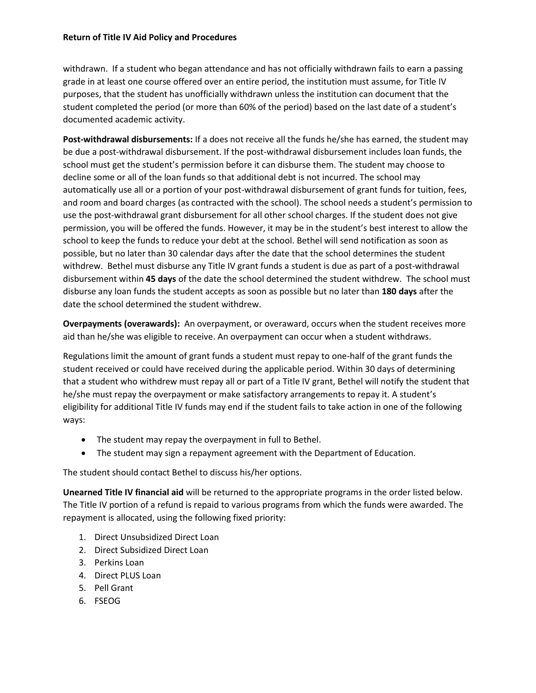## **Return of Title IV Aid Policy and Procedures**

withdrawn. If a student who began attendance and has not officially withdrawn fails to earn a passing grade in at least one course offered over an entire period, the institution must assume, for Title IV purposes, that the student has unofficially withdrawn unless the institution can document that the student completed the period (or more than 60% of the period) based on the last date of a student's documented academic activity.

**Post-withdrawal disbursements:** If a does not receive all the funds he/she has earned, the student may be due a post-withdrawal disbursement. If the post-withdrawal disbursement includes loan funds, the school must get the student's permission before it can disburse them. The student may choose to decline some or all of the loan funds so that additional debt is not incurred. The school may automatically use all or a portion of your post-withdrawal disbursement of grant funds for tuition, fees, and room and board charges (as contracted with the school). The school needs a student's permission to use the post-withdrawal grant disbursement for all other school charges. If the student does not give permission, you will be offered the funds. However, it may be in the student's best interest to allow the school to keep the funds to reduce your debt at the school. Bethel will send notification as soon as possible, but no later than 30 calendar days after the date that the school determines the student withdrew. Bethel must disburse any Title IV grant funds a student is due as part of a post-withdrawal disbursement within **45 days** of the date the school determined the student withdrew. The school must disburse any loan funds the student accepts as soon as possible but no later than **180 days** after the date the school determined the student withdrew.

**Overpayments (overawards):** An overpayment, or overaward, occurs when the student receives more aid than he/she was eligible to receive. An overpayment can occur when a student withdraws.

Regulations limit the amount of grant funds a student must repay to one-half of the grant funds the student received or could have received during the applicable period. Within 30 days of determining that a student who withdrew must repay all or part of a Title IV grant, Bethel will notify the student that he/she must repay the overpayment or make satisfactory arrangements to repay it. A student's eligibility for additional Title IV funds may end if the student fails to take action in one of the following ways:

- The student may repay the overpayment in full to Bethel.
- The student may sign a repayment agreement with the Department of Education.

The student should contact Bethel to discuss his/her options.

**Unearned Title IV financial aid** will be returned to the appropriate programs in the order listed below. The Title IV portion of a refund is repaid to various programs from which the funds were awarded. The repayment is allocated, using the following fixed priority:

- 1. Direct Unsubsidized Direct Loan
- 2. Direct Subsidized Direct Loan
- 3. Perkins Loan
- 4. Direct PLUS Loan
- 5. Pell Grant
- 6. FSEOG